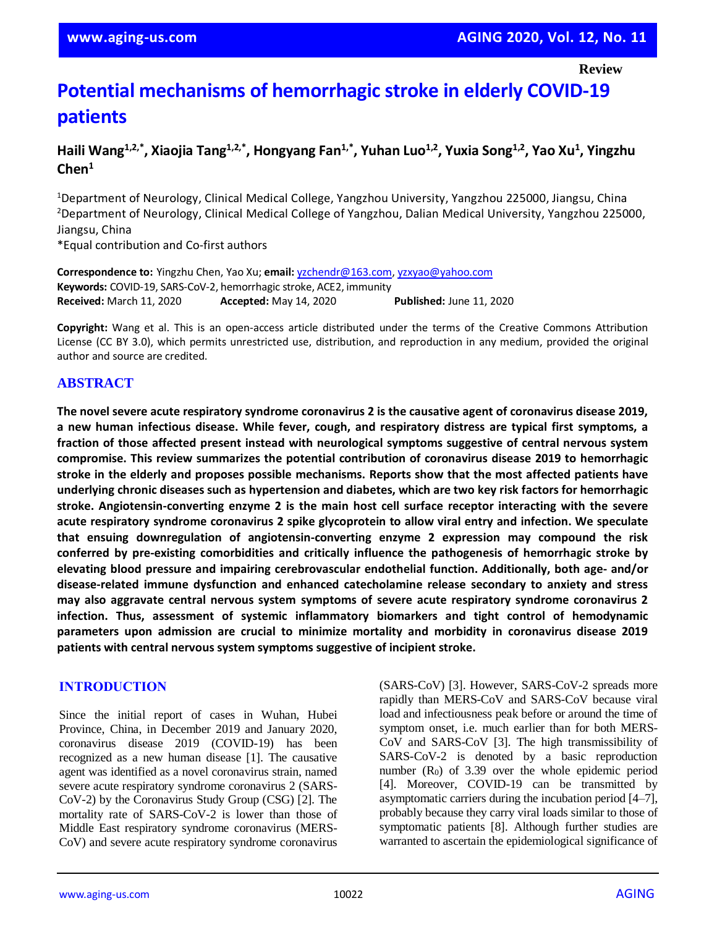# **Potential mechanisms of hemorrhagic stroke in elderly COVID-19 patients**

**Haili Wang1,2,\*, Xiaojia Tang1,2,\*, Hongyang Fan1,\*, Yuhan Luo1,2, Yuxia Song1,2, Yao Xu<sup>1</sup> , Yingzhu Chen<sup>1</sup>**

<sup>1</sup>Department of Neurology, Clinical Medical College, Yangzhou University, Yangzhou 225000, Jiangsu, China <sup>2</sup>Department of Neurology, Clinical Medical College of Yangzhou, Dalian Medical University, Yangzhou 225000, Jiangsu, China

\*Equal contribution and Co-first authors

**Correspondence to:** Yingzhu Chen, Yao Xu; **email:** [yzchendr@163.com,](mailto:yzchendr@163.com) [yzxyao@yahoo.com](mailto:yzxyao@yahoo.com) **Keywords:** COVID-19, SARS-CoV-2, hemorrhagic stroke, ACE2, immunity **Received:** March 11, 2020 **Accepted:** May 14, 2020 **Published:** June 11, 2020

**Copyright:** Wang et al. This is an open-access article distributed under the terms of the Creative Commons Attribution License (CC BY 3.0), which permits unrestricted use, distribution, and reproduction in any medium, provided the original author and source are credited.

## **ABSTRACT**

**The novel severe acute respiratory syndrome coronavirus 2 is the causative agent of coronavirus disease 2019, a new human infectious disease. While fever, cough, and respiratory distress are typical first symptoms, a fraction of those affected present instead with neurological symptoms suggestive of central nervous system compromise. This review summarizes the potential contribution of coronavirus disease 2019 to hemorrhagic stroke in the elderly and proposes possible mechanisms. Reports show that the most affected patients have underlying chronic diseases such as hypertension and diabetes, which are two key risk factors for hemorrhagic stroke. Angiotensin-converting enzyme 2 is the main host cell surface receptor interacting with the severe acute respiratory syndrome coronavirus 2 spike glycoprotein to allow viral entry and infection. We speculate that ensuing downregulation of angiotensin-converting enzyme 2 expression may compound the risk conferred by pre-existing comorbidities and critically influence the pathogenesis of hemorrhagic stroke by elevating blood pressure and impairing cerebrovascular endothelial function. Additionally, both age- and/or disease-related immune dysfunction and enhanced catecholamine release secondary to anxiety and stress may also aggravate central nervous system symptoms of severe acute respiratory syndrome coronavirus 2 infection. Thus, assessment of systemic inflammatory biomarkers and tight control of hemodynamic parameters upon admission are crucial to minimize mortality and morbidity in coronavirus disease 2019 patients with central nervous system symptoms suggestive of incipient stroke.**

#### **INTRODUCTION**

Since the initial report of cases in Wuhan, Hubei Province, China, in December 2019 and January 2020, coronavirus disease 2019 (COVID-19) has been recognized as a new human disease [1]. The causative agent was identified as a novel coronavirus strain, named severe acute respiratory syndrome coronavirus 2 (SARS-CoV-2) by the Coronavirus Study Group (CSG) [2]. The mortality rate of SARS-CoV-2 is lower than those of Middle East respiratory syndrome coronavirus (MERS-CoV) and severe acute respiratory syndrome coronavirus

(SARS-CoV) [3]. However, SARS-CoV-2 spreads more rapidly than MERS-CoV and SARS-CoV because viral load and infectiousness peak before or around the time of symptom onset, i.e. much earlier than for both MERS-CoV and SARS-CoV [3]. The high transmissibility of SARS-CoV-2 is denoted by a basic reproduction number  $(R_0)$  of 3.39 over the whole epidemic period [4]. Moreover, COVID-19 can be transmitted by asymptomatic carriers during the incubation period [4–7], probably because they carry viral loads similar to those of symptomatic patients [8]. Although further studies are warranted to ascertain the epidemiological significance of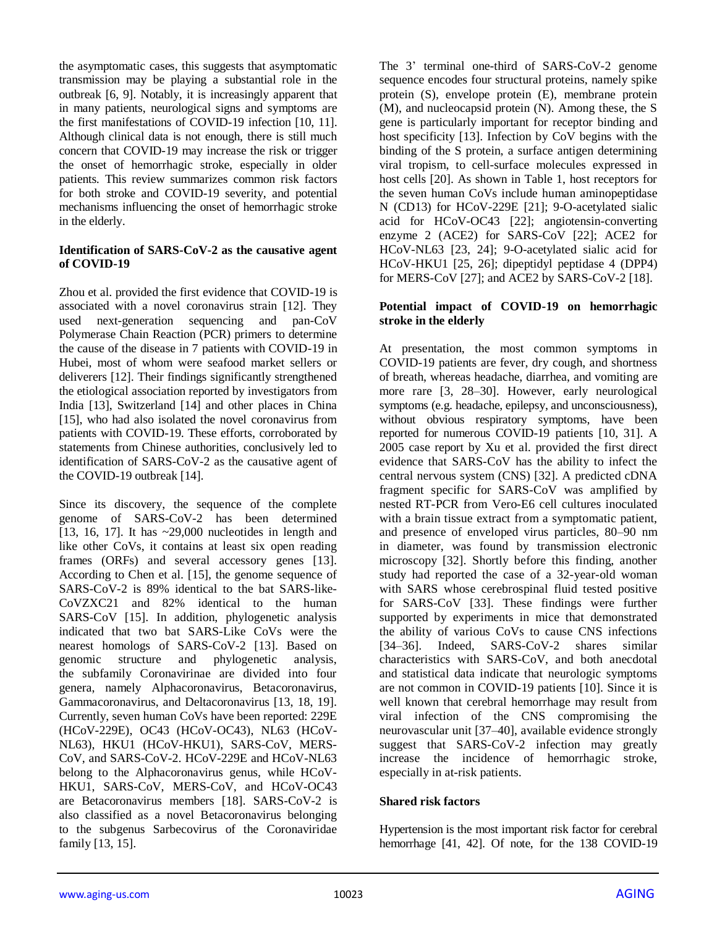the asymptomatic cases, this suggests that asymptomatic transmission may be playing a substantial role in the outbreak [6, 9]. Notably, it is increasingly apparent that in many patients, neurological signs and symptoms are the first manifestations of COVID-19 infection [10, 11]. Although clinical data is not enough, there is still much concern that COVID-19 may increase the risk or trigger the onset of hemorrhagic stroke, especially in older patients. This review summarizes common risk factors for both stroke and COVID-19 severity, and potential mechanisms influencing the onset of hemorrhagic stroke in the elderly.

#### **Identification of SARS-CoV-2 as the causative agent of COVID-19**

Zhou et al. provided the first evidence that COVID-19 is associated with a novel coronavirus strain [12]. They used next-generation sequencing and pan-CoV Polymerase Chain Reaction (PCR) primers to determine the cause of the disease in 7 patients with COVID-19 in Hubei, most of whom were seafood market sellers or deliverers [12]. Their findings significantly strengthened the etiological association reported by investigators from India [13], Switzerland [14] and other places in China [15], who had also isolated the novel coronavirus from patients with COVID-19. These efforts, corroborated by statements from Chinese authorities, conclusively led to identification of SARS-CoV-2 as the causative agent of the COVID-19 outbreak [14].

Since its discovery, the sequence of the complete genome of SARS-CoV-2 has been determined [13, 16, 17]. It has ~29,000 nucleotides in length and like other CoVs, it contains at least six open reading frames (ORFs) and several accessory genes [13]. According to Chen et al. [15], the genome sequence of SARS-CoV-2 is 89% identical to the bat SARS-like-CoVZXC21 and 82% identical to the human SARS-CoV [15]. In addition, phylogenetic analysis indicated that two bat SARS-Like CoVs were the nearest homologs of SARS-CoV-2 [13]. Based on genomic structure and phylogenetic analysis, the subfamily Coronavirinae are divided into four genera, namely Alphacoronavirus, Betacoronavirus, Gammacoronavirus, and Deltacoronavirus [13, 18, 19]. Currently, seven human CoVs have been reported: 229E (HCoV-229E), OC43 (HCoV-OC43), NL63 (HCoV-NL63), HKU1 (HCoV-HKU1), SARS-CoV, MERS-CoV, and SARS-CoV-2. HCoV-229E and HCoV-NL63 belong to the Alphacoronavirus genus, while HCoV-HKU1, SARS-CoV, MERS-CoV, and HCoV-OC43 are Betacoronavirus members [18]. SARS-CoV-2 is also classified as a novel Betacoronavirus belonging to the subgenus Sarbecovirus of the Coronaviridae family [13, 15].

The 3' terminal one-third of SARS-CoV-2 genome sequence encodes four structural proteins, namely spike protein (S), envelope protein (E), membrane protein (M), and nucleocapsid protein (N). Among these, the S gene is particularly important for receptor binding and host specificity [13]. Infection by CoV begins with the binding of the S protein, a surface antigen determining viral tropism, to cell-surface molecules expressed in host cells [20]. As shown in Table 1, host receptors for the seven human CoVs include human aminopeptidase N (CD13) for HCoV-229E [21]; 9-O-acetylated sialic acid for HCoV-OC43 [22]; angiotensin-converting enzyme 2 (ACE2) for SARS-CoV [22]; ACE2 for HCoV-NL63 [23, 24]; 9-O-acetylated sialic acid for HCoV-HKU1 [25, 26]; dipeptidyl peptidase 4 (DPP4) for MERS-CoV [27]; and ACE2 by SARS-CoV-2 [18].

#### **Potential impact of COVID-19 on hemorrhagic stroke in the elderly**

At presentation, the most common symptoms in COVID-19 patients are fever, dry cough, and shortness of breath, whereas headache, diarrhea, and vomiting are more rare [3, 28–30]. However, early neurological symptoms (e.g. headache, epilepsy, and unconsciousness), without obvious respiratory symptoms, have been reported for numerous COVID-19 patients [10, 31]. A 2005 case report by Xu et al. provided the first direct evidence that SARS-CoV has the ability to infect the central nervous system (CNS) [32]. A predicted cDNA fragment specific for SARS-CoV was amplified by nested RT-PCR from Vero-E6 cell cultures inoculated with a brain tissue extract from a symptomatic patient, and presence of enveloped virus particles, 80–90 nm in diameter, was found by transmission electronic microscopy [32]. Shortly before this finding, another study had reported the case of a 32-year-old woman with SARS whose cerebrospinal fluid tested positive for SARS-CoV [33]. These findings were further supported by experiments in mice that demonstrated the ability of various CoVs to cause CNS infections [34–36]. Indeed, SARS-CoV-2 shares similar characteristics with SARS-CoV, and both anecdotal and statistical data indicate that neurologic symptoms are not common in COVID-19 patients [10]. Since it is well known that cerebral hemorrhage may result from viral infection of the CNS compromising the neurovascular unit [37–40], available evidence strongly suggest that SARS-CoV-2 infection may greatly increase the incidence of hemorrhagic stroke, especially in at-risk patients.

#### **Shared risk factors**

Hypertension is the most important risk factor for cerebral hemorrhage [41, 42]. Of note, for the 138 COVID-19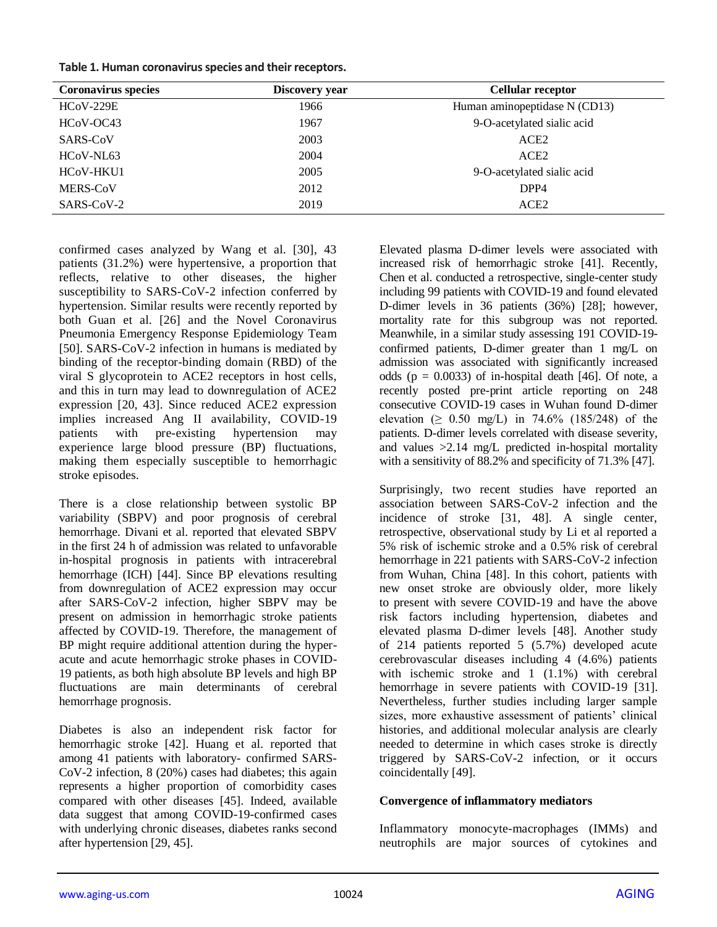| Table 1. Human coronavirus species and their receptors. |
|---------------------------------------------------------|
|---------------------------------------------------------|

| <b>Coronavirus</b> species | Discovery year | <b>Cellular receptor</b>      |
|----------------------------|----------------|-------------------------------|
| <b>HCoV-229E</b>           | 1966           | Human aminopeptidase N (CD13) |
| HCoV-OC43                  | 1967           | 9-O-acetylated sialic acid    |
| SARS-CoV                   | 2003           | ACE <sub>2</sub>              |
| HCoV-NL63                  | 2004           | ACE <sub>2</sub>              |
| HCoV-HKU1                  | 2005           | 9-O-acetylated sialic acid    |
| MERS-CoV                   | 2012           | DPP4                          |
| SARS-CoV-2                 | 2019           | ACE <sub>2</sub>              |

confirmed cases analyzed by Wang et al. [30], 43 patients (31.2%) were hypertensive, a proportion that reflects, relative to other diseases, the higher susceptibility to SARS-CoV-2 infection conferred by hypertension. Similar results were recently reported by both Guan et al. [26] and the Novel Coronavirus Pneumonia Emergency Response Epidemiology Team [50]. SARS-CoV-2 infection in humans is mediated by binding of the receptor-binding domain (RBD) of the viral S glycoprotein to ACE2 receptors in host cells, and this in turn may lead to downregulation of ACE2 expression [20, 43]. Since reduced ACE2 expression implies increased Ang II availability, COVID-19 patients with pre-existing hypertension may experience large blood pressure (BP) fluctuations, making them especially susceptible to hemorrhagic stroke episodes.

There is a close relationship between systolic BP variability (SBPV) and poor prognosis of cerebral hemorrhage. Divani et al. reported that elevated SBPV in the first 24 h of admission was related to unfavorable in-hospital prognosis in patients with intracerebral hemorrhage (ICH) [44]. Since BP elevations resulting from downregulation of ACE2 expression may occur after SARS-CoV-2 infection, higher SBPV may be present on admission in hemorrhagic stroke patients affected by COVID-19. Therefore, the management of BP might require additional attention during the hyperacute and acute hemorrhagic stroke phases in COVID-19 patients, as both high absolute BP levels and high BP fluctuations are main determinants of cerebral hemorrhage prognosis.

Diabetes is also an independent risk factor for hemorrhagic stroke [42]. Huang et al. reported that among 41 patients with laboratory- confirmed SARS-CoV-2 infection, 8 (20%) cases had diabetes; this again represents a higher proportion of comorbidity cases compared with other diseases [45]. Indeed, available data suggest that among COVID-19-confirmed cases with underlying chronic diseases, diabetes ranks second after hypertension [29, 45].

Elevated plasma D-dimer levels were associated with increased risk of hemorrhagic stroke [41]. Recently, Chen et al. conducted a retrospective, single-center study including 99 patients with COVID-19 and found elevated D-dimer levels in 36 patients (36%) [28]; however, mortality rate for this subgroup was not reported. Meanwhile, in a similar study assessing 191 COVID-19 confirmed patients, D-dimer greater than 1 mg/L on admission was associated with significantly increased odds ( $p = 0.0033$ ) of in-hospital death [46]. Of note, a recently posted pre-print article reporting on 248 consecutive COVID-19 cases in Wuhan found D-dimer elevation  $( \ge 0.50 \text{ mg/L})$  in 74.6% (185/248) of the patients. D-dimer levels correlated with disease severity, and values >2.14 mg/L predicted in-hospital mortality with a sensitivity of 88.2% and specificity of 71.3% [47].

Surprisingly, two recent studies have reported an association between SARS-CoV-2 infection and the incidence of stroke [31, 48]. A single center, retrospective, observational study by Li et al reported a 5% risk of ischemic stroke and a 0.5% risk of cerebral hemorrhage in 221 patients with SARS-CoV-2 infection from Wuhan, China [48]. In this cohort, patients with new onset stroke are obviously older, more likely to present with severe COVID-19 and have the above risk factors including hypertension, diabetes and elevated plasma D-dimer levels [48]. Another study of 214 patients reported 5 (5.7%) developed acute cerebrovascular diseases including 4 (4.6%) patients with ischemic stroke and 1 (1.1%) with cerebral hemorrhage in severe patients with COVID-19 [31]. Nevertheless, further studies including larger sample sizes, more exhaustive assessment of patients' clinical histories, and additional molecular analysis are clearly needed to determine in which cases stroke is directly triggered by SARS-CoV-2 infection, or it occurs coincidentally [49].

# **Convergence of inflammatory mediators**

Inflammatory monocyte-macrophages (IMMs) and neutrophils are major sources of cytokines and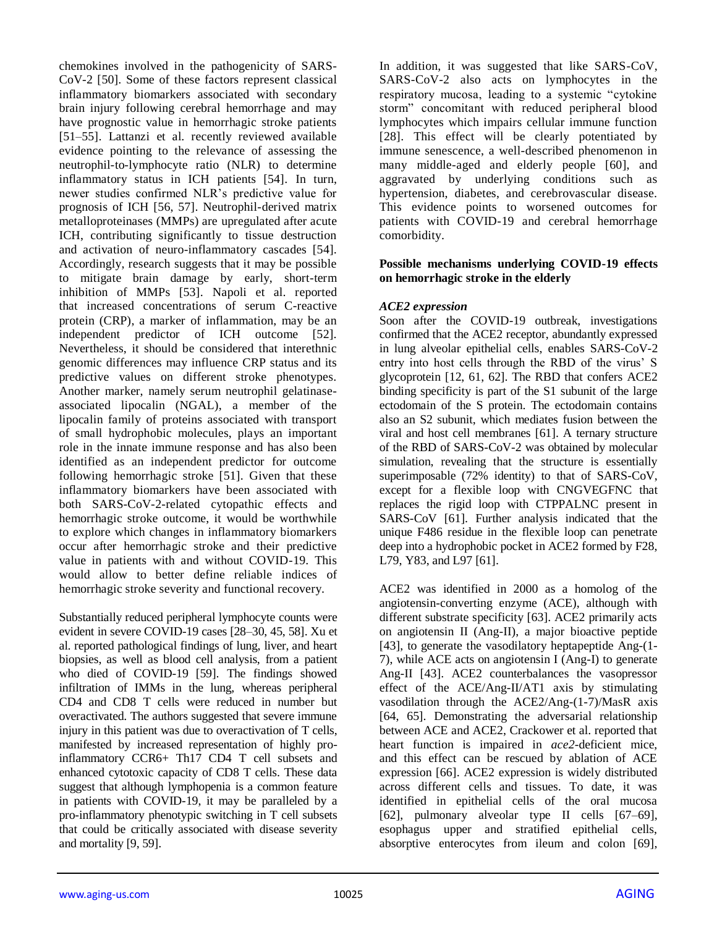chemokines involved in the pathogenicity of SARS-CoV-2 [50]. Some of these factors represent classical inflammatory biomarkers associated with secondary brain injury following cerebral hemorrhage and may have prognostic value in hemorrhagic stroke patients [51–55]. Lattanzi et al. recently reviewed available evidence pointing to the relevance of assessing the neutrophil-to-lymphocyte ratio (NLR) to determine inflammatory status in ICH patients [54]. In turn, newer studies confirmed NLR's predictive value for prognosis of ICH [56, 57]. Neutrophil-derived matrix metalloproteinases (MMPs) are upregulated after acute ICH, contributing significantly to tissue destruction and activation of neuro-inflammatory cascades [54]. Accordingly, research suggests that it may be possible to mitigate brain damage by early, short-term inhibition of MMPs [53]. Napoli et al. reported that increased concentrations of serum C-reactive protein (CRP), a marker of inflammation, may be an independent predictor of ICH outcome [52]. Nevertheless, it should be considered that interethnic genomic differences may influence CRP status and its predictive values on different stroke phenotypes. Another marker, namely serum neutrophil gelatinaseassociated lipocalin (NGAL), a member of the lipocalin family of proteins associated with transport of small hydrophobic molecules, plays an important role in the innate immune response and has also been identified as an independent predictor for outcome following hemorrhagic stroke [51]. Given that these inflammatory biomarkers have been associated with both SARS-CoV-2-related cytopathic effects and hemorrhagic stroke outcome, it would be worthwhile to explore which changes in inflammatory biomarkers occur after hemorrhagic stroke and their predictive value in patients with and without COVID-19. This would allow to better define reliable indices of hemorrhagic stroke severity and functional recovery.

Substantially reduced peripheral lymphocyte counts were evident in severe COVID-19 cases [28–30, 45, 58]. Xu et al. reported pathological findings of lung, liver, and heart biopsies, as well as blood cell analysis, from a patient who died of COVID-19 [59]. The findings showed infiltration of IMMs in the lung, whereas peripheral CD4 and CD8 T cells were reduced in number but overactivated. The authors suggested that severe immune injury in this patient was due to overactivation of T cells, manifested by increased representation of highly proinflammatory CCR6+ Th17 CD4 T cell subsets and enhanced cytotoxic capacity of CD8 T cells. These data suggest that although lymphopenia is a common feature in patients with COVID-19, it may be paralleled by a pro-inflammatory phenotypic switching in T cell subsets that could be critically associated with disease severity and mortality [9, 59].

In addition, it was suggested that like SARS-CoV, SARS-CoV-2 also acts on lymphocytes in the respiratory mucosa, leading to a systemic "cytokine storm" concomitant with reduced peripheral blood lymphocytes which impairs cellular immune function [28]. This effect will be clearly potentiated by immune senescence, a well-described phenomenon in many middle-aged and elderly people [60], and aggravated by underlying conditions such as hypertension, diabetes, and cerebrovascular disease. This evidence points to worsened outcomes for patients with COVID-19 and cerebral hemorrhage comorbidity.

# **Possible mechanisms underlying COVID-19 effects on hemorrhagic stroke in the elderly**

## *ACE2 expression*

Soon after the COVID-19 outbreak, investigations confirmed that the ACE2 receptor, abundantly expressed in lung alveolar epithelial cells, enables SARS-CoV-2 entry into host cells through the RBD of the virus' S glycoprotein [12, 61, 62]. The RBD that confers ACE2 binding specificity is part of the S1 subunit of the large ectodomain of the S protein. The ectodomain contains also an S2 subunit, which mediates fusion between the viral and host cell membranes [61]. A ternary structure of the RBD of SARS-CoV-2 was obtained by molecular simulation, revealing that the structure is essentially superimposable (72% identity) to that of SARS-CoV, except for a flexible loop with CNGVEGFNC that replaces the rigid loop with CTPPALNC present in SARS-CoV [61]. Further analysis indicated that the unique F486 residue in the flexible loop can penetrate deep into a hydrophobic pocket in ACE2 formed by F28, L79, Y83, and L97 [61].

ACE2 was identified in 2000 as a homolog of the angiotensin-converting enzyme (ACE), although with different substrate specificity [63]. ACE2 primarily acts on angiotensin II (Ang-II), a major bioactive peptide [43], to generate the vasodilatory heptapeptide Ang-(1- 7), while ACE acts on angiotensin I (Ang-I) to generate Ang-II [43]. ACE2 counterbalances the vasopressor effect of the ACE/Ang-II/AT1 axis by stimulating vasodilation through the ACE2/Ang-(1-7)/MasR axis [64, 65]. Demonstrating the adversarial relationship between ACE and ACE2, Crackower et al. reported that heart function is impaired in *ace2*-deficient mice, and this effect can be rescued by ablation of ACE expression [66]. ACE2 expression is widely distributed across different cells and tissues. To date, it was identified in epithelial cells of the oral mucosa [62], pulmonary alveolar type II cells [67–69], esophagus upper and stratified epithelial cells, absorptive enterocytes from ileum and colon [69],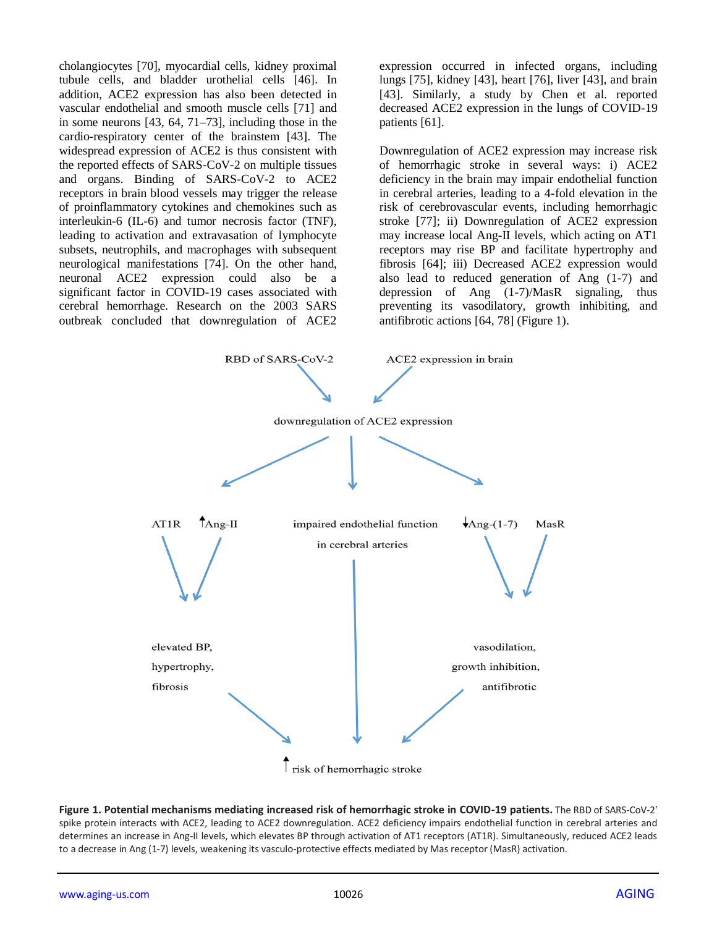cholangiocytes [70], myocardial cells, kidney proximal tubule cells, and bladder urothelial cells [46]. In addition, ACE2 expression has also been detected in vascular endothelial and smooth muscle cells [71] and in some neurons [43, 64, 71–73], including those in the cardio-respiratory center of the brainstem [43]. The widespread expression of ACE2 is thus consistent with the reported effects of SARS-CoV-2 on multiple tissues and organs. Binding of SARS-CoV-2 to ACE2 receptors in brain blood vessels may trigger the release of proinflammatory cytokines and chemokines such as interleukin-6 (IL-6) and tumor necrosis factor (TNF), leading to activation and extravasation of lymphocyte subsets, neutrophils, and macrophages with subsequent neurological manifestations [74]. On the other hand, neuronal ACE2 expression could also be a significant factor in COVID-19 cases associated with cerebral hemorrhage. Research on the 2003 SARS outbreak concluded that downregulation of ACE2

expression occurred in infected organs, including lungs [75], kidney [43], heart [76], liver [43], and brain [43]. Similarly, a study by Chen et al. reported decreased ACE2 expression in the lungs of COVID-19 patients [61].

Downregulation of ACE2 expression may increase risk of hemorrhagic stroke in several ways: i) ACE2 deficiency in the brain may impair endothelial function in cerebral arteries, leading to a 4-fold elevation in the risk of cerebrovascular events, including hemorrhagic stroke [77]; ii) Downregulation of ACE2 expression may increase local Ang-II levels, which acting on AT1 receptors may rise BP and facilitate hypertrophy and fibrosis [64]; iii) Decreased ACE2 expression would also lead to reduced generation of Ang (1-7) and depression of Ang (1-7)/MasR signaling, thus preventing its vasodilatory, growth inhibiting, and antifibrotic actions [64, 78] (Figure 1).



**Figure 1. Potential mechanisms mediating increased risk of hemorrhagic stroke in COVID-19 patients.** The RBD of SARS-CoV-2' spike protein interacts with ACE2, leading to ACE2 downregulation. ACE2 deficiency impairs endothelial function in cerebral arteries and determines an increase in Ang-II levels, which elevates BP through activation of AT1 receptors (AT1R). Simultaneously, reduced ACE2 leads to a decrease in Ang (1-7) levels, weakening its vasculo-protective effects mediated by Mas receptor (MasR) activation.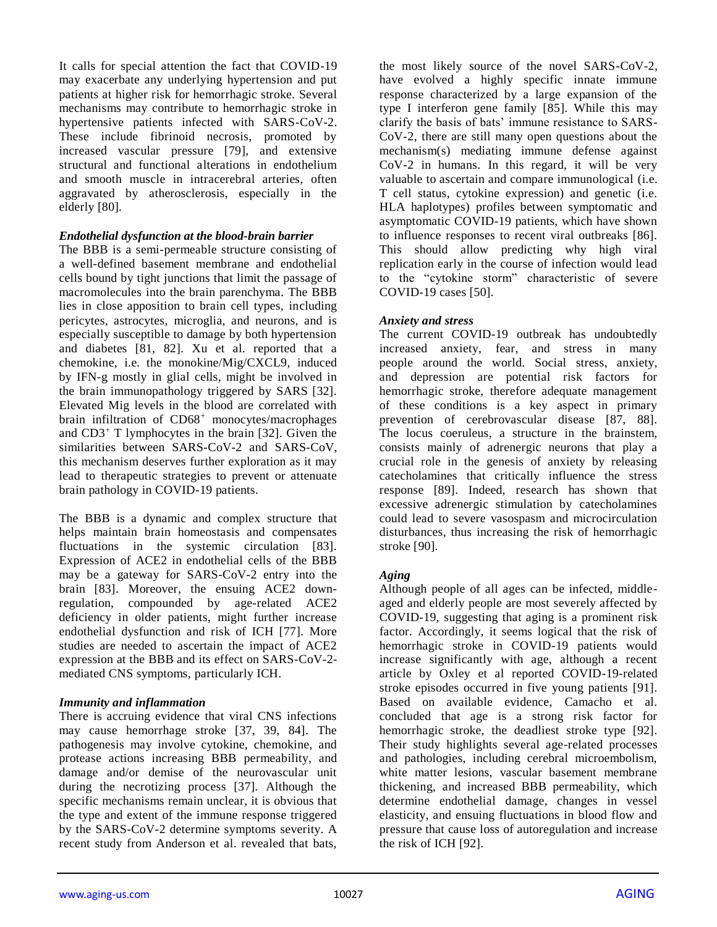It calls for special attention the fact that COVID-19 may exacerbate any underlying hypertension and put patients at higher risk for hemorrhagic stroke. Several mechanisms may contribute to hemorrhagic stroke in hypertensive patients infected with SARS-CoV-2. These include fibrinoid necrosis, promoted by increased vascular pressure [79], and extensive structural and functional alterations in endothelium and smooth muscle in intracerebral arteries, often aggravated by atherosclerosis, especially in the elderly [80].

#### *Endothelial dysfunction at the blood-brain barrier*

The BBB is a semi-permeable structure consisting of a well-defined basement membrane and endothelial cells bound by tight junctions that limit the passage of macromolecules into the brain parenchyma. The BBB lies in close apposition to brain cell types, including pericytes, astrocytes, microglia, and neurons, and is especially susceptible to damage by both hypertension and diabetes [81, 82]. Xu et al. reported that a chemokine, i.e. the monokine/Mig/CXCL9, induced by IFN-g mostly in glial cells, might be involved in the brain immunopathology triggered by SARS [32]. Elevated Mig levels in the blood are correlated with brain infiltration of CD68<sup>+</sup> monocytes/macrophages and  $CD3<sup>+</sup>$  T lymphocytes in the brain [32]. Given the similarities between SARS-CoV-2 and SARS-CoV, this mechanism deserves further exploration as it may lead to therapeutic strategies to prevent or attenuate brain pathology in COVID-19 patients.

The BBB is a dynamic and complex structure that helps maintain brain homeostasis and compensates fluctuations in the systemic circulation [83]. Expression of ACE2 in endothelial cells of the BBB may be a gateway for SARS-CoV-2 entry into the brain [83]. Moreover, the ensuing ACE2 downregulation, compounded by age-related ACE2 deficiency in older patients, might further increase endothelial dysfunction and risk of ICH [77]. More studies are needed to ascertain the impact of ACE2 expression at the BBB and its effect on SARS-CoV-2 mediated CNS symptoms, particularly ICH.

#### *Immunity and inflammation*

There is accruing evidence that viral CNS infections may cause hemorrhage stroke [37, 39, 84]. The pathogenesis may involve cytokine, chemokine, and protease actions increasing BBB permeability, and damage and/or demise of the neurovascular unit during the necrotizing process [37]. Although the specific mechanisms remain unclear, it is obvious that the type and extent of the immune response triggered by the SARS-CoV-2 determine symptoms severity. A recent study from Anderson et al. revealed that bats,

the most likely source of the novel SARS-CoV-2, have evolved a highly specific innate immune response characterized by a large expansion of the type I interferon gene family [85]. While this may clarify the basis of bats' immune resistance to SARS-CoV-2, there are still many open questions about the mechanism(s) mediating immune defense against CoV-2 in humans. In this regard, it will be very valuable to ascertain and compare immunological (i.e. T cell status, cytokine expression) and genetic (i.e. HLA haplotypes) profiles between symptomatic and asymptomatic COVID-19 patients, which have shown to influence responses to recent viral outbreaks [86]. This should allow predicting why high viral replication early in the course of infection would lead to the "cytokine storm" characteristic of severe COVID-19 cases [50].

#### *Anxiety and stress*

The current COVID-19 outbreak has undoubtedly increased anxiety, fear, and stress in many people around the world. Social stress, anxiety, and depression are potential risk factors for hemorrhagic stroke, therefore adequate management of these conditions is a key aspect in primary prevention of cerebrovascular disease [87, 88]. The locus coeruleus, a structure in the brainstem, consists mainly of adrenergic neurons that play a crucial role in the genesis of anxiety by releasing catecholamines that critically influence the stress response [89]. Indeed, research has shown that excessive adrenergic stimulation by catecholamines could lead to severe vasospasm and microcirculation disturbances, thus increasing the risk of hemorrhagic stroke [90].

#### *Aging*

Although people of all ages can be infected, middleaged and elderly people are most severely affected by COVID-19, suggesting that aging is a prominent risk factor. Accordingly, it seems logical that the risk of hemorrhagic stroke in COVID-19 patients would increase significantly with age, although a recent article by Oxley et al reported COVID-19-related stroke episodes occurred in five young patients [91]. Based on available evidence, Camacho et al. concluded that age is a strong risk factor for hemorrhagic stroke, the deadliest stroke type [92]. Their study highlights several age-related processes and pathologies, including cerebral microembolism, white matter lesions, vascular basement membrane thickening, and increased BBB permeability, which determine endothelial damage, changes in vessel elasticity, and ensuing fluctuations in blood flow and pressure that cause loss of autoregulation and increase the risk of ICH [92].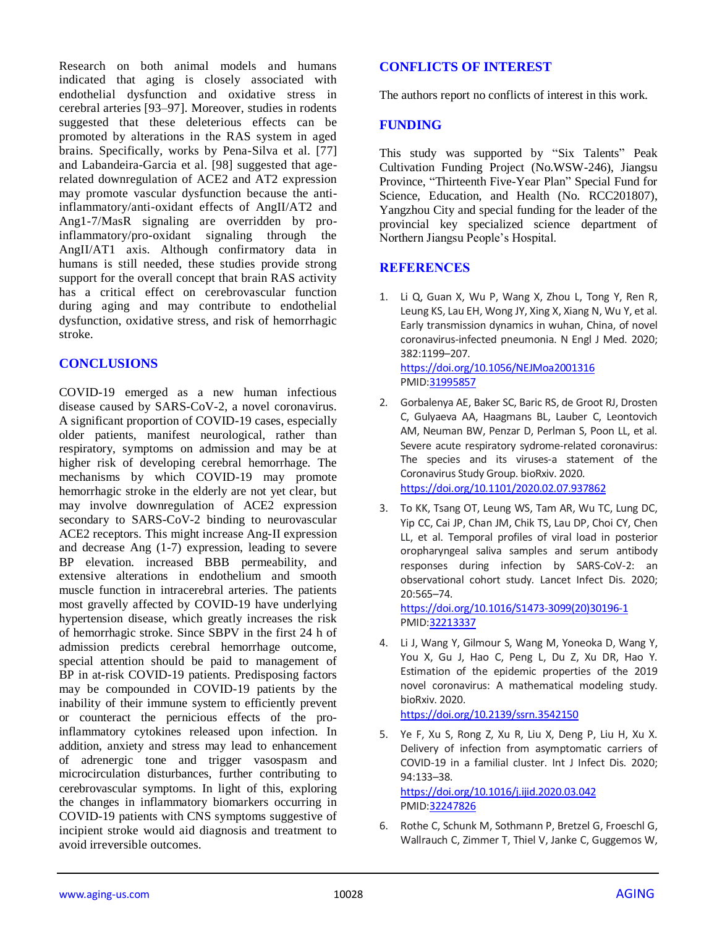Research on both animal models and humans indicated that aging is closely associated with endothelial dysfunction and oxidative stress in cerebral arteries [93–97]. Moreover, studies in rodents suggested that these deleterious effects can be promoted by alterations in the RAS system in aged brains. Specifically, works by Pena-Silva et al. [77] and Labandeira-Garcia et al. [98] suggested that agerelated downregulation of ACE2 and AT2 expression may promote vascular dysfunction because the antiinflammatory/anti-oxidant effects of AngII/AT2 and Ang1-7/MasR signaling are overridden by proinflammatory/pro-oxidant signaling through the AngII/AT1 axis. Although confirmatory data in humans is still needed, these studies provide strong support for the overall concept that brain RAS activity has a critical effect on cerebrovascular function during aging and may contribute to endothelial dysfunction, oxidative stress, and risk of hemorrhagic stroke.

# **CONCLUSIONS**

COVID-19 emerged as a new human infectious disease caused by SARS-CoV-2, a novel coronavirus. A significant proportion of COVID-19 cases, especially older patients, manifest neurological, rather than respiratory, symptoms on admission and may be at higher risk of developing cerebral hemorrhage. The mechanisms by which COVID-19 may promote hemorrhagic stroke in the elderly are not yet clear, but may involve downregulation of ACE2 expression secondary to SARS-CoV-2 binding to neurovascular ACE2 receptors. This might increase Ang-II expression and decrease Ang (1-7) expression, leading to severe BP elevation. increased BBB permeability, and extensive alterations in endothelium and smooth muscle function in intracerebral arteries. The patients most gravelly affected by COVID-19 have underlying hypertension disease, which greatly increases the risk of hemorrhagic stroke. Since SBPV in the first 24 h of admission predicts cerebral hemorrhage outcome, special attention should be paid to management of BP in at-risk COVID-19 patients. Predisposing factors may be compounded in COVID-19 patients by the inability of their immune system to efficiently prevent or counteract the pernicious effects of the proinflammatory cytokines released upon infection. In addition, anxiety and stress may lead to enhancement of adrenergic tone and trigger vasospasm and microcirculation disturbances, further contributing to cerebrovascular symptoms. In light of this, exploring the changes in inflammatory biomarkers occurring in COVID-19 patients with CNS symptoms suggestive of incipient stroke would aid diagnosis and treatment to avoid irreversible outcomes.

## **CONFLICTS OF INTEREST**

The authors report no conflicts of interest in this work.

## **FUNDING**

This study was supported by "Six Talents" Peak Cultivation Funding Project (No.WSW-246), Jiangsu Province, "Thirteenth Five-Year Plan" Special Fund for Science, Education, and Health (No. RCC201807), Yangzhou City and special funding for the leader of the provincial key specialized science department of Northern Jiangsu People's Hospital.

# **REFERENCES**

- 1. Li Q, Guan X, Wu P, Wang X, Zhou L, Tong Y, Ren R, Leung KS, Lau EH, Wong JY, Xing X, Xiang N, Wu Y, et al. Early transmission dynamics in wuhan, China, of novel coronavirus-infected pneumonia. N Engl J Med. 2020; 382:1199–207. <https://doi.org/10.1056/NEJMoa2001316> PMI[D:31995857](https://pubmed.ncbi.nlm.nih.gov/31995857)
- 2. Gorbalenya AE, Baker SC, Baric RS, de Groot RJ, Drosten C, Gulyaeva AA, Haagmans BL, Lauber C, Leontovich AM, Neuman BW, Penzar D, Perlman S, Poon LL, et al. Severe acute respiratory sydrome-related coronavirus: The species and its viruses-a statement of the Coronavirus Study Group. bioRxiv. 2020. <https://doi.org/10.1101/2020.02.07.937862>
- 3. To KK, Tsang OT, Leung WS, Tam AR, Wu TC, Lung DC, Yip CC, Cai JP, Chan JM, Chik TS, Lau DP, Choi CY, Chen LL, et al. Temporal profiles of viral load in posterior oropharyngeal saliva samples and serum antibody responses during infection by SARS-CoV-2: an observational cohort study. Lancet Infect Dis. 2020; 20:565–74.

[https://doi.org/10.1016/S1473-3099\(20\)30196-1](https://doi.org/10.1016/S1473-3099(20)30196-1) PMI[D:32213337](https://pubmed.ncbi.nlm.nih.gov/32213337)

4. Li J, Wang Y, Gilmour S, Wang M, Yoneoka D, Wang Y, You X, Gu J, Hao C, Peng L, Du Z, Xu DR, Hao Y. Estimation of the epidemic properties of the 2019 novel coronavirus: A mathematical modeling study. bioRxiv. 2020.

<https://doi.org/10.2139/ssrn.3542150>

- 5. Ye F, Xu S, Rong Z, Xu R, Liu X, Deng P, Liu H, Xu X. Delivery of infection from asymptomatic carriers of COVID-19 in a familial cluster. Int J Infect Dis. 2020; 94:133–38. <https://doi.org/10.1016/j.ijid.2020.03.042> PMI[D:32247826](https://pubmed.ncbi.nlm.nih.gov/32247826)
- 6. Rothe C, Schunk M, Sothmann P, Bretzel G, Froeschl G, Wallrauch C, Zimmer T, Thiel V, Janke C, Guggemos W,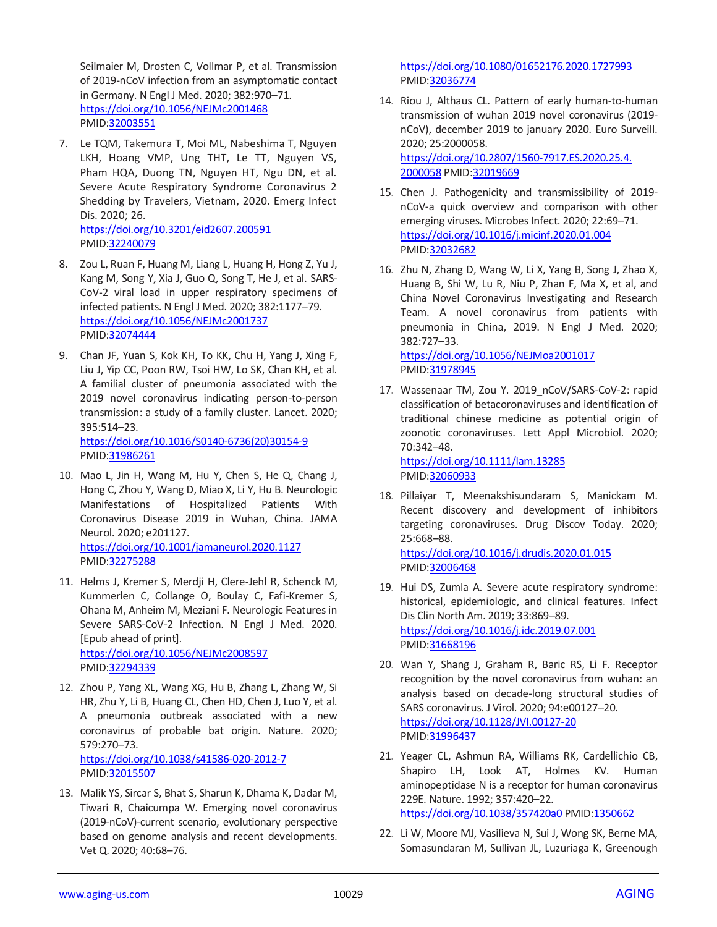Seilmaier M, Drosten C, Vollmar P, et al. Transmission of 2019-nCoV infection from an asymptomatic contact in Germany. N Engl J Med. 2020; 382:970–71. <https://doi.org/10.1056/NEJMc2001468> PMID[:32003551](https://pubmed.ncbi.nlm.nih.gov/32003551)

7. Le TQM, Takemura T, Moi ML, Nabeshima T, Nguyen LKH, Hoang VMP, Ung THT, Le TT, Nguyen VS, Pham HQA, Duong TN, Nguyen HT, Ngu DN, et al. Severe Acute Respiratory Syndrome Coronavirus 2 Shedding by Travelers, Vietnam, 2020. Emerg Infect Dis. 2020; 26.

<https://doi.org/10.3201/eid2607.200591> PMID[:32240079](https://pubmed.ncbi.nlm.nih.gov/32240079)

- 8. Zou L, Ruan F, Huang M, Liang L, Huang H, Hong Z, Yu J, Kang M, Song Y, Xia J, Guo Q, Song T, He J, et al. SARS-CoV-2 viral load in upper respiratory specimens of infected patients. N Engl J Med. 2020; 382:1177–79. <https://doi.org/10.1056/NEJMc2001737> PMID[:32074444](https://pubmed.ncbi.nlm.nih.gov/32074444)
- 9. Chan JF, Yuan S, Kok KH, To KK, Chu H, Yang J, Xing F, Liu J, Yip CC, Poon RW, Tsoi HW, Lo SK, Chan KH, et al. A familial cluster of pneumonia associated with the 2019 novel coronavirus indicating person-to-person transmission: a study of a family cluster. Lancet. 2020; 395:514–23. [https://doi.org/10.1016/S0140-6736\(20\)30154-9](https://doi.org/10.1016/S0140-6736(20)30154-9) PMID[:31986261](https://pubmed.ncbi.nlm.nih.gov/31986261)
- 10. Mao L, Jin H, Wang M, Hu Y, Chen S, He Q, Chang J, Hong C, Zhou Y, Wang D, Miao X, Li Y, Hu B. Neurologic Manifestations of Hospitalized Patients With Coronavirus Disease 2019 in Wuhan, China. JAMA Neurol. 2020; e201127. <https://doi.org/10.1001/jamaneurol.2020.1127>

PMID[:32275288](https://pubmed.ncbi.nlm.nih.gov/32275288)

- 11. Helms J, Kremer S, Merdji H, Clere-Jehl R, Schenck M, Kummerlen C, Collange O, Boulay C, Fafi-Kremer S, Ohana M, Anheim M, Meziani F. Neurologic Features in Severe SARS-CoV-2 Infection. N Engl J Med. 2020. [Epub ahead of print]. <https://doi.org/10.1056/NEJMc2008597> PMID[:32294339](https://pubmed.ncbi.nlm.nih.gov/32294339)
- 12. Zhou P, Yang XL, Wang XG, Hu B, Zhang L, Zhang W, Si HR, Zhu Y, Li B, Huang CL, Chen HD, Chen J, Luo Y, et al. A pneumonia outbreak associated with a new coronavirus of probable bat origin. Nature. 2020; 579:270–73. <https://doi.org/10.1038/s41586-020-2012-7> PMID[:32015507](https://pubmed.ncbi.nlm.nih.gov/32015507)
- 13. Malik YS, Sircar S, Bhat S, Sharun K, Dhama K, Dadar M, Tiwari R, Chaicumpa W. Emerging novel coronavirus (2019-nCoV)-current scenario, evolutionary perspective based on genome analysis and recent developments. Vet Q. 2020; 40:68–76.

<https://doi.org/10.1080/01652176.2020.1727993> PMI[D:32036774](https://pubmed.ncbi.nlm.nih.gov/32036774)

- 14. Riou J, Althaus CL. Pattern of early human-to-human transmission of wuhan 2019 novel coronavirus (2019 nCoV), december 2019 to january 2020. Euro Surveill. 2020; 25:2000058. [https://doi.org/10.2807/1560-7917.ES.2020.25.4.](https://doi.org/10.2807/1560-7917.ES.2020.25.4.2000058) [2000058](https://doi.org/10.2807/1560-7917.ES.2020.25.4.2000058) PMI[D:32019669](https://pubmed.ncbi.nlm.nih.gov/32019669)
- 15. Chen J. Pathogenicity and transmissibility of 2019 nCoV-a quick overview and comparison with other emerging viruses. Microbes Infect. 2020; 22:69–71. <https://doi.org/10.1016/j.micinf.2020.01.004> PMI[D:32032682](https://pubmed.ncbi.nlm.nih.gov/32032682)
- 16. Zhu N, Zhang D, Wang W, Li X, Yang B, Song J, Zhao X, Huang B, Shi W, Lu R, Niu P, Zhan F, Ma X, et al, and China Novel Coronavirus Investigating and Research Team. A novel coronavirus from patients with pneumonia in China, 2019. N Engl J Med. 2020; 382:727–33.

<https://doi.org/10.1056/NEJMoa2001017> PMI[D:31978945](https://pubmed.ncbi.nlm.nih.gov/31978945)

17. Wassenaar TM, Zou Y. 2019 nCoV/SARS-CoV-2: rapid classification of betacoronaviruses and identification of traditional chinese medicine as potential origin of zoonotic coronaviruses. Lett Appl Microbiol. 2020; 70:342–48. <https://doi.org/10.1111/lam.13285>

PMI[D:32060933](https://pubmed.ncbi.nlm.nih.gov/32060933)

- 18. Pillaiyar T, Meenakshisundaram S, Manickam M. Recent discovery and development of inhibitors targeting coronaviruses. Drug Discov Today. 2020; 25:668–88. <https://doi.org/10.1016/j.drudis.2020.01.015> PMI[D:32006468](https://pubmed.ncbi.nlm.nih.gov/32006468)
- 19. Hui DS, Zumla A. Severe acute respiratory syndrome: historical, epidemiologic, and clinical features. Infect Dis Clin North Am. 2019; 33:869–89. <https://doi.org/10.1016/j.idc.2019.07.001> PMI[D:31668196](https://pubmed.ncbi.nlm.nih.gov/31668196)
- 20. Wan Y, Shang J, Graham R, Baric RS, Li F. Receptor recognition by the novel coronavirus from wuhan: an analysis based on decade-long structural studies of SARS coronavirus. J Virol. 2020; 94:e00127–20. <https://doi.org/10.1128/JVI.00127-20> PMI[D:31996437](https://pubmed.ncbi.nlm.nih.gov/31996437)
- 21. Yeager CL, Ashmun RA, Williams RK, Cardellichio CB, Shapiro LH, Look AT, Holmes KV. Human aminopeptidase N is a receptor for human coronavirus 229E. Nature. 1992; 357:420–22. <https://doi.org/10.1038/357420a0> PMID[:1350662](https://pubmed.ncbi.nlm.nih.gov/1350662)
- 22. Li W, Moore MJ, Vasilieva N, Sui J, Wong SK, Berne MA, Somasundaran M, Sullivan JL, Luzuriaga K, Greenough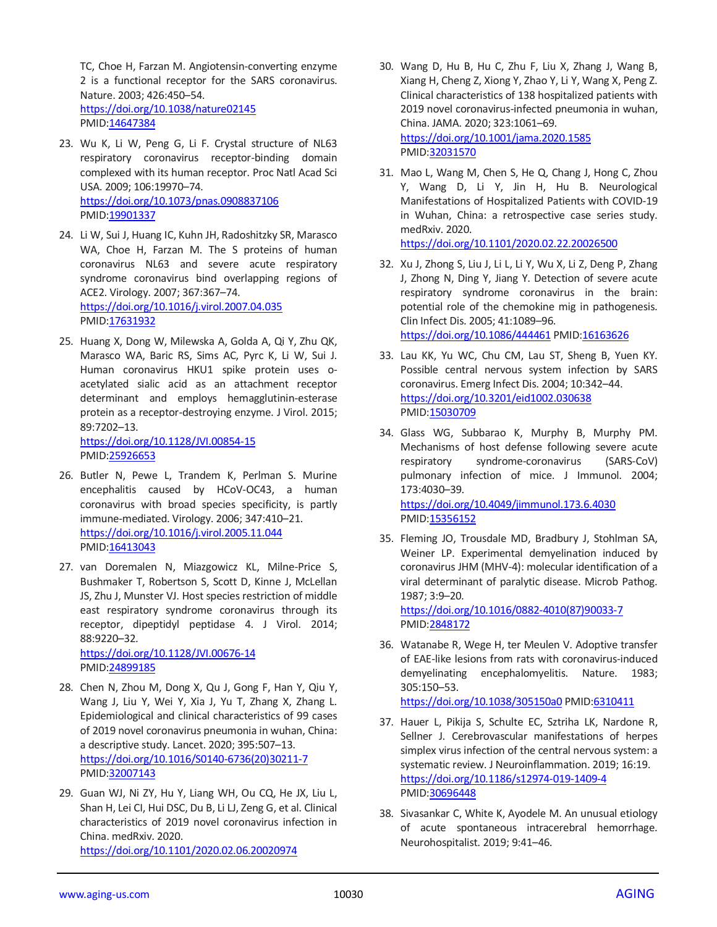TC, Choe H, Farzan M. Angiotensin-converting enzyme 2 is a functional receptor for the SARS coronavirus. Nature. 2003; 426:450–54. <https://doi.org/10.1038/nature02145> PMID[:14647384](https://pubmed.ncbi.nlm.nih.gov/14647384)

- 23. Wu K, Li W, Peng G, Li F. Crystal structure of NL63 respiratory coronavirus receptor-binding domain complexed with its human receptor. Proc Natl Acad Sci USA. 2009; 106:19970–74. <https://doi.org/10.1073/pnas.0908837106> PMID[:19901337](https://pubmed.ncbi.nlm.nih.gov/19901337)
- 24. Li W, Sui J, Huang IC, Kuhn JH, Radoshitzky SR, Marasco WA, Choe H, Farzan M. The S proteins of human coronavirus NL63 and severe acute respiratory syndrome coronavirus bind overlapping regions of ACE2. Virology. 2007; 367:367–74. <https://doi.org/10.1016/j.virol.2007.04.035> PMID[:17631932](https://pubmed.ncbi.nlm.nih.gov/17631932)
- 25. Huang X, Dong W, Milewska A, Golda A, Qi Y, Zhu QK, Marasco WA, Baric RS, Sims AC, Pyrc K, Li W, Sui J. Human coronavirus HKU1 spike protein uses oacetylated sialic acid as an attachment receptor determinant and employs hemagglutinin-esterase protein as a receptor-destroying enzyme. J Virol. 2015; 89:7202–13. <https://doi.org/10.1128/JVI.00854-15>

PMID[:25926653](https://pubmed.ncbi.nlm.nih.gov/25926653)

- 26. Butler N, Pewe L, Trandem K, Perlman S. Murine encephalitis caused by HCoV-OC43, a human coronavirus with broad species specificity, is partly immune-mediated. Virology. 2006; 347:410–21. <https://doi.org/10.1016/j.virol.2005.11.044> PMID[:16413043](https://pubmed.ncbi.nlm.nih.gov/16413043)
- 27. van Doremalen N, Miazgowicz KL, Milne-Price S, Bushmaker T, Robertson S, Scott D, Kinne J, McLellan JS, Zhu J, Munster VJ. Host species restriction of middle east respiratory syndrome coronavirus through its receptor, dipeptidyl peptidase 4. J Virol. 2014; 88:9220–32.

<https://doi.org/10.1128/JVI.00676-14> PMID[:24899185](https://pubmed.ncbi.nlm.nih.gov/24899185)

- 28. Chen N, Zhou M, Dong X, Qu J, Gong F, Han Y, Qiu Y, Wang J, Liu Y, Wei Y, Xia J, Yu T, Zhang X, Zhang L. Epidemiological and clinical characteristics of 99 cases of 2019 novel coronavirus pneumonia in wuhan, China: a descriptive study. Lancet. 2020; 395:507–13. [https://doi.org/10.1016/S0140-6736\(20\)30211-7](https://doi.org/10.1016/S0140-6736(20)30211-7) PMID[:32007143](https://pubmed.ncbi.nlm.nih.gov/32007143)
- 29. Guan WJ, Ni ZY, Hu Y, Liang WH, Ou CQ, He JX, Liu L, Shan H, Lei CI, Hui DSC, Du B, Li LJ, Zeng G, et al. Clinical characteristics of 2019 novel coronavirus infection in China. medRxiv. 2020. <https://doi.org/10.1101/2020.02.06.20020974>
- 30. Wang D, Hu B, Hu C, Zhu F, Liu X, Zhang J, Wang B, Xiang H, Cheng Z, Xiong Y, Zhao Y, Li Y, Wang X, Peng Z. Clinical characteristics of 138 hospitalized patients with 2019 novel coronavirus-infected pneumonia in wuhan, China. JAMA. 2020; 323:1061–69. <https://doi.org/10.1001/jama.2020.1585> PMI[D:32031570](https://pubmed.ncbi.nlm.nih.gov/32031570)
- 31. Mao L, Wang M, Chen S, He Q, Chang J, Hong C, Zhou Y, Wang D, Li Y, Jin H, Hu B. Neurological Manifestations of Hospitalized Patients with COVID-19 in Wuhan, China: a retrospective case series study. medRxiv. 2020. <https://doi.org/10.1101/2020.02.22.20026500>
- 32. Xu J, Zhong S, Liu J, Li L, Li Y, Wu X, Li Z, Deng P, Zhang J, Zhong N, Ding Y, Jiang Y. Detection of severe acute respiratory syndrome coronavirus in the brain: potential role of the chemokine mig in pathogenesis. Clin Infect Dis. 2005; 41:1089–96. <https://doi.org/10.1086/444461> PMID[:16163626](https://pubmed.ncbi.nlm.nih.gov/16163626)
- 33. Lau KK, Yu WC, Chu CM, Lau ST, Sheng B, Yuen KY. Possible central nervous system infection by SARS coronavirus. Emerg Infect Dis. 2004; 10:342–44. <https://doi.org/10.3201/eid1002.030638> PMI[D:15030709](https://pubmed.ncbi.nlm.nih.gov/15030709)
- 34. Glass WG, Subbarao K, Murphy B, Murphy PM. Mechanisms of host defense following severe acute respiratory syndrome-coronavirus (SARS-CoV) pulmonary infection of mice. J Immunol. 2004; 173:4030–39. <https://doi.org/10.4049/jimmunol.173.6.4030> PMI[D:15356152](https://pubmed.ncbi.nlm.nih.gov/15356152)
- 35. Fleming JO, Trousdale MD, Bradbury J, Stohlman SA, Weiner LP. Experimental demyelination induced by coronavirus JHM (MHV-4): molecular identification of a viral determinant of paralytic disease. Microb Pathog. 1987; 3:9–20. [https://doi.org/10.1016/0882-4010\(87\)90033-7](https://doi.org/10.1016/0882-4010(87)90033-7)

PMI[D:2848172](https://pubmed.ncbi.nlm.nih.gov/2848172)

36. Watanabe R, Wege H, ter Meulen V. Adoptive transfer of EAE-like lesions from rats with coronavirus-induced demyelinating encephalomyelitis. Nature. 1983; 305:150–53.

<https://doi.org/10.1038/305150a0> PMID[:6310411](https://pubmed.ncbi.nlm.nih.gov/6310411)

- 37. Hauer L, Pikija S, Schulte EC, Sztriha LK, Nardone R, Sellner J. Cerebrovascular manifestations of herpes simplex virus infection of the central nervous system: a systematic review. J Neuroinflammation. 2019; 16:19. <https://doi.org/10.1186/s12974-019-1409-4> PMI[D:30696448](https://pubmed.ncbi.nlm.nih.gov/30696448)
- 38. Sivasankar C, White K, Ayodele M. An unusual etiology of acute spontaneous intracerebral hemorrhage. Neurohospitalist. 2019; 9:41–46.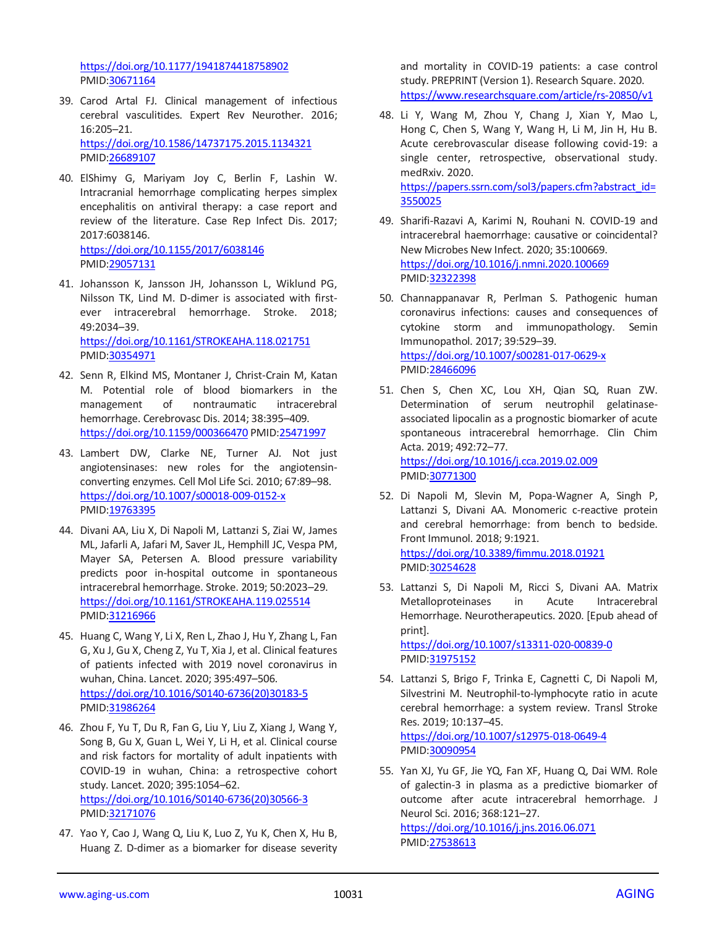<https://doi.org/10.1177/1941874418758902> PMID[:30671164](https://pubmed.ncbi.nlm.nih.gov/30671164)

- 39. Carod Artal FJ. Clinical management of infectious cerebral vasculitides. Expert Rev Neurother. 2016; 16:205–21. <https://doi.org/10.1586/14737175.2015.1134321> PMID[:26689107](https://pubmed.ncbi.nlm.nih.gov/26689107)
- 40. ElShimy G, Mariyam Joy C, Berlin F, Lashin W. Intracranial hemorrhage complicating herpes simplex encephalitis on antiviral therapy: a case report and review of the literature. Case Rep Infect Dis. 2017; 2017:6038146. <https://doi.org/10.1155/2017/6038146> PMID[:29057131](https://pubmed.ncbi.nlm.nih.gov/29057131)
- 41. Johansson K, Jansson JH, Johansson L, Wiklund PG, Nilsson TK, Lind M. D-dimer is associated with firstever intracerebral hemorrhage. Stroke. 2018; 49:2034–39. <https://doi.org/10.1161/STROKEAHA.118.021751> PMID[:30354971](https://pubmed.ncbi.nlm.nih.gov/30354971)
- 42. Senn R, Elkind MS, Montaner J, Christ-Crain M, Katan M. Potential role of blood biomarkers in the management of nontraumatic intracerebral hemorrhage. Cerebrovasc Dis. 2014; 38:395–409. <https://doi.org/10.1159/000366470> PMI[D:25471997](https://pubmed.ncbi.nlm.nih.gov/25471997)
- 43. Lambert DW, Clarke NE, Turner AJ. Not just angiotensinases: new roles for the angiotensinconverting enzymes. Cell Mol Life Sci. 2010; 67:89–98. <https://doi.org/10.1007/s00018-009-0152-x> PMID[:19763395](https://pubmed.ncbi.nlm.nih.gov/19763395)
- 44. Divani AA, Liu X, Di Napoli M, Lattanzi S, Ziai W, James ML, Jafarli A, Jafari M, Saver JL, Hemphill JC, Vespa PM, Mayer SA, Petersen A. Blood pressure variability predicts poor in-hospital outcome in spontaneous intracerebral hemorrhage. Stroke. 2019; 50:2023–29. <https://doi.org/10.1161/STROKEAHA.119.025514> PMID[:31216966](https://pubmed.ncbi.nlm.nih.gov/31216966)
- 45. Huang C, Wang Y, Li X, Ren L, Zhao J, Hu Y, Zhang L, Fan G, Xu J, Gu X, Cheng Z, Yu T, Xia J, et al. Clinical features of patients infected with 2019 novel coronavirus in wuhan, China. Lancet. 2020; 395:497–506. [https://doi.org/10.1016/S0140-6736\(20\)30183-5](https://doi.org/10.1016/S0140-6736(20)30183-5) PMID[:31986264](https://pubmed.ncbi.nlm.nih.gov/31986264)
- 46. Zhou F, Yu T, Du R, Fan G, Liu Y, Liu Z, Xiang J, Wang Y, Song B, Gu X, Guan L, Wei Y, Li H, et al. Clinical course and risk factors for mortality of adult inpatients with COVID-19 in wuhan, China: a retrospective cohort study. Lancet. 2020; 395:1054–62. [https://doi.org/10.1016/S0140-6736\(20\)30566-3](https://doi.org/10.1016/S0140-6736(20)30566-3) PMID[:32171076](https://pubmed.ncbi.nlm.nih.gov/32171076)
- 47. Yao Y, Cao J, Wang Q, Liu K, Luo Z, Yu K, Chen X, Hu B, Huang Z. D-dimer as a biomarker for disease severity

and mortality in COVID-19 patients: a case control study. PREPRINT (Version 1). Research Square. 2020. <https://www.researchsquare.com/article/rs-20850/v1>

- 48. Li Y, Wang M, Zhou Y, Chang J, Xian Y, Mao L, Hong C, Chen S, Wang Y, Wang H, Li M, Jin H, Hu B. Acute cerebrovascular disease following covid-19: a single center, retrospective, observational study. medRxiv. 2020. [https://papers.ssrn.com/sol3/papers.cfm?abstract\\_id=](https://papers.ssrn.com/sol3/papers.cfm?abstract_id=3550025) [3550025](https://papers.ssrn.com/sol3/papers.cfm?abstract_id=3550025)
- 49. Sharifi-Razavi A, Karimi N, Rouhani N. COVID-19 and intracerebral haemorrhage: causative or coincidental? New Microbes New Infect. 2020; 35:100669. <https://doi.org/10.1016/j.nmni.2020.100669> PMI[D:32322398](https://pubmed.ncbi.nlm.nih.gov/32322398)
- 50. Channappanavar R, Perlman S. Pathogenic human coronavirus infections: causes and consequences of cytokine storm and immunopathology. Semin Immunopathol. 2017; 39:529–39. <https://doi.org/10.1007/s00281-017-0629-x> PMI[D:28466096](https://pubmed.ncbi.nlm.nih.gov/28466096)
- 51. Chen S, Chen XC, Lou XH, Qian SQ, Ruan ZW. Determination of serum neutrophil gelatinaseassociated lipocalin as a prognostic biomarker of acute spontaneous intracerebral hemorrhage. Clin Chim Acta. 2019; 492:72–77. <https://doi.org/10.1016/j.cca.2019.02.009> PMI[D:30771300](https://pubmed.ncbi.nlm.nih.gov/30771300)
- 52. Di Napoli M, Slevin M, Popa-Wagner A, Singh P, Lattanzi S, Divani AA. Monomeric c-reactive protein and cerebral hemorrhage: from bench to bedside. Front Immunol. 2018; 9:1921. <https://doi.org/10.3389/fimmu.2018.01921> PMI[D:30254628](https://pubmed.ncbi.nlm.nih.gov/30254628)
- 53. Lattanzi S, Di Napoli M, Ricci S, Divani AA. Matrix Metalloproteinases in Acute Intracerebral Hemorrhage. Neurotherapeutics. 2020. [Epub ahead of print].

<https://doi.org/10.1007/s13311-020-00839-0> PMI[D:31975152](https://pubmed.ncbi.nlm.nih.gov/31975152)

- 54. Lattanzi S, Brigo F, Trinka E, Cagnetti C, Di Napoli M, Silvestrini M. Neutrophil-to-lymphocyte ratio in acute cerebral hemorrhage: a system review. Transl Stroke Res. 2019; 10:137–45. <https://doi.org/10.1007/s12975-018-0649-4> PMI[D:30090954](https://pubmed.ncbi.nlm.nih.gov/30090954)
- 55. Yan XJ, Yu GF, Jie YQ, Fan XF, Huang Q, Dai WM. Role of galectin-3 in plasma as a predictive biomarker of outcome after acute intracerebral hemorrhage. J Neurol Sci. 2016; 368:121–27. <https://doi.org/10.1016/j.jns.2016.06.071> PMI[D:27538613](https://pubmed.ncbi.nlm.nih.gov/27538613)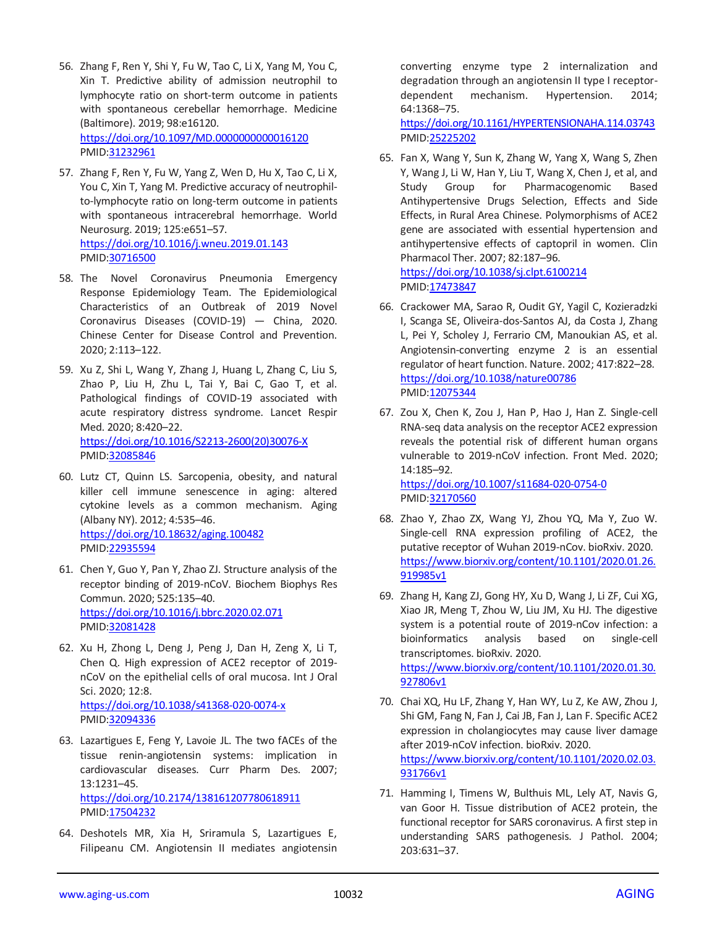- 56. Zhang F, Ren Y, Shi Y, Fu W, Tao C, Li X, Yang M, You C, Xin T. Predictive ability of admission neutrophil to lymphocyte ratio on short-term outcome in patients with spontaneous cerebellar hemorrhage. Medicine (Baltimore). 2019; 98:e16120. <https://doi.org/10.1097/MD.0000000000016120> PMID[:31232961](https://pubmed.ncbi.nlm.nih.gov/31232961)
- 57. Zhang F, Ren Y, Fu W, Yang Z, Wen D, Hu X, Tao C, Li X, You C, Xin T, Yang M. Predictive accuracy of neutrophilto-lymphocyte ratio on long-term outcome in patients with spontaneous intracerebral hemorrhage. World Neurosurg. 2019; 125:e651–57. <https://doi.org/10.1016/j.wneu.2019.01.143> PMID[:30716500](https://pubmed.ncbi.nlm.nih.gov/30716500)
- 58. The Novel Coronavirus Pneumonia Emergency Response Epidemiology Team. The Epidemiological Characteristics of an Outbreak of 2019 Novel Coronavirus Diseases (COVID-19) — China, 2020. Chinese Center for Disease Control and Prevention. 2020; 2:113–122.
- 59. Xu Z, Shi L, Wang Y, Zhang J, Huang L, Zhang C, Liu S, Zhao P, Liu H, Zhu L, Tai Y, Bai C, Gao T, et al. Pathological findings of COVID-19 associated with acute respiratory distress syndrome. Lancet Respir Med. 2020; 8:420–22. [https://doi.org/10.1016/S2213-2600\(20\)30076-X](https://doi.org/10.1016/S2213-2600(20)30076-X) PMID[:32085846](https://pubmed.ncbi.nlm.nih.gov/32085846)
- 60. Lutz CT, Quinn LS. Sarcopenia, obesity, and natural killer cell immune senescence in aging: altered cytokine levels as a common mechanism. Aging (Albany NY). 2012; 4:535–46. <https://doi.org/10.18632/aging.100482> PMID[:22935594](https://pubmed.ncbi.nlm.nih.gov/22935594)
- 61. Chen Y, Guo Y, Pan Y, Zhao ZJ. Structure analysis of the receptor binding of 2019-nCoV. Biochem Biophys Res Commun. 2020; 525:135–40. <https://doi.org/10.1016/j.bbrc.2020.02.071> PMID[:32081428](https://pubmed.ncbi.nlm.nih.gov/32081428)
- 62. Xu H, Zhong L, Deng J, Peng J, Dan H, Zeng X, Li T, Chen Q. High expression of ACE2 receptor of 2019 nCoV on the epithelial cells of oral mucosa. Int J Oral Sci. 2020; 12:8. <https://doi.org/10.1038/s41368-020-0074-x> PMID[:32094336](https://pubmed.ncbi.nlm.nih.gov/32094336)
- 63. Lazartigues E, Feng Y, Lavoie JL. The two fACEs of the tissue renin-angiotensin systems: implication in cardiovascular diseases. Curr Pharm Des. 2007; 13:1231–45. <https://doi.org/10.2174/138161207780618911> PMID[:17504232](https://pubmed.ncbi.nlm.nih.gov/17504232)
- 64. Deshotels MR, Xia H, Sriramula S, Lazartigues E, Filipeanu CM. Angiotensin II mediates angiotensin

converting enzyme type 2 internalization and degradation through an angiotensin II type I receptordependent mechanism. Hypertension. 2014; 64:1368–75.

<https://doi.org/10.1161/HYPERTENSIONAHA.114.03743> PMI[D:25225202](https://pubmed.ncbi.nlm.nih.gov/25225202)

- 65. Fan X, Wang Y, Sun K, Zhang W, Yang X, Wang S, Zhen Y, Wang J, Li W, Han Y, Liu T, Wang X, Chen J, et al, and<br>Study Group for Pharmacogenomic Based Group for Pharmacogenomic Based Antihypertensive Drugs Selection, Effects and Side Effects, in Rural Area Chinese. Polymorphisms of ACE2 gene are associated with essential hypertension and antihypertensive effects of captopril in women. Clin Pharmacol Ther. 2007; 82:187–96. <https://doi.org/10.1038/sj.clpt.6100214> PMI[D:17473847](https://pubmed.ncbi.nlm.nih.gov/17473847)
- 66. Crackower MA, Sarao R, Oudit GY, Yagil C, Kozieradzki I, Scanga SE, Oliveira-dos-Santos AJ, da Costa J, Zhang L, Pei Y, Scholey J, Ferrario CM, Manoukian AS, et al. Angiotensin-converting enzyme 2 is an essential regulator of heart function. Nature. 2002; 417:822–28. <https://doi.org/10.1038/nature00786> PMI[D:12075344](https://pubmed.ncbi.nlm.nih.gov/12075344)
- 67. Zou X, Chen K, Zou J, Han P, Hao J, Han Z. Single-cell RNA-seq data analysis on the receptor ACE2 expression reveals the potential risk of different human organs vulnerable to 2019-nCoV infection. Front Med. 2020; 14:185–92. <https://doi.org/10.1007/s11684-020-0754-0>
- PMI[D:32170560](https://pubmed.ncbi.nlm.nih.gov/32170560) 68. Zhao Y, Zhao ZX, Wang YJ, Zhou YQ, Ma Y, Zuo W. Single-cell RNA expression profiling of ACE2, the putative receptor of Wuhan 2019-nCov. bioRxiv. 2020.

[919985v1](https://www.biorxiv.org/content/10.1101/2020.01.26.919985v1)

69. Zhang H, Kang ZJ, Gong HY, Xu D, Wang J, Li ZF, Cui XG, Xiao JR, Meng T, Zhou W, Liu JM, Xu HJ. The digestive system is a potential route of 2019-nCov infection: a bioinformatics analysis based on single-cell transcriptomes. bioRxiv. 2020. [https://www.biorxiv.org/content/10.1101/2020.01.30.](https://www.biorxiv.org/content/10.1101/2020.01.30.927806v1) [927806v1](https://www.biorxiv.org/content/10.1101/2020.01.30.927806v1)

[https://www.biorxiv.org/content/10.1101/2020.01.26.](https://www.biorxiv.org/content/10.1101/2020.01.26.919985v1)

- 70. Chai XQ, Hu LF, Zhang Y, Han WY, Lu Z, Ke AW, Zhou J, Shi GM, Fang N, Fan J, Cai JB, Fan J, Lan F. Specific ACE2 expression in cholangiocytes may cause liver damage after 2019-nCoV infection. bioRxiv. 2020. [https://www.biorxiv.org/content/10.1101/2020.02.03.](https://www.biorxiv.org/content/10.1101/2020.02.03.931766v1) [931766v1](https://www.biorxiv.org/content/10.1101/2020.02.03.931766v1)
- 71. Hamming I, Timens W, Bulthuis ML, Lely AT, Navis G, van Goor H. Tissue distribution of ACE2 protein, the functional receptor for SARS coronavirus. A first step in understanding SARS pathogenesis. J Pathol. 2004; 203:631–37.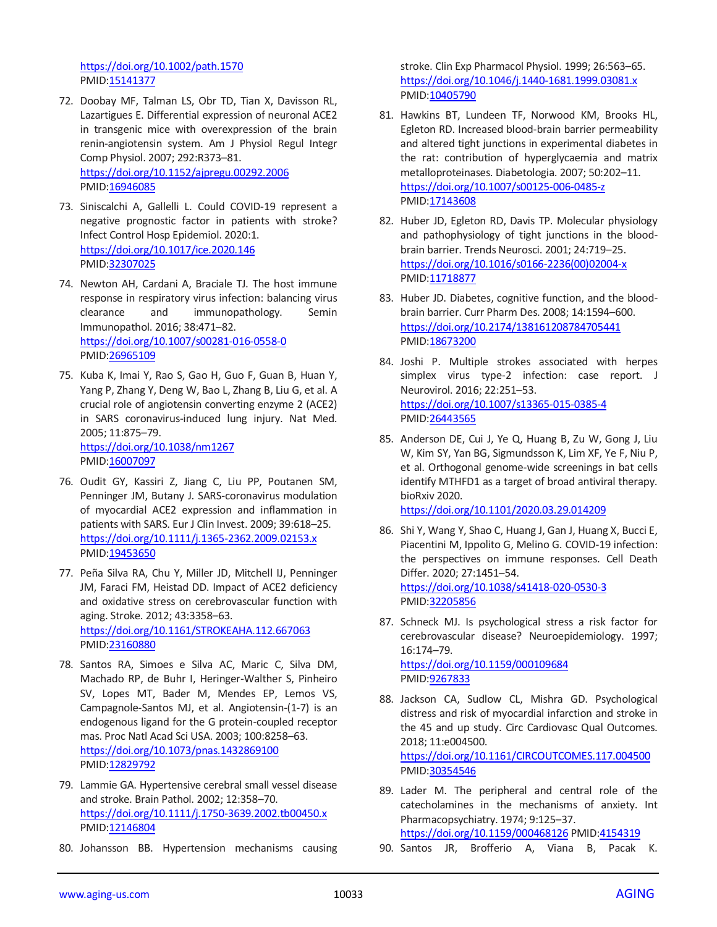<https://doi.org/10.1002/path.1570> PMID[:15141377](https://pubmed.ncbi.nlm.nih.gov/15141377)

- 72. Doobay MF, Talman LS, Obr TD, Tian X, Davisson RL, Lazartigues E. Differential expression of neuronal ACE2 in transgenic mice with overexpression of the brain renin-angiotensin system. Am J Physiol Regul Integr Comp Physiol. 2007; 292:R373–81. <https://doi.org/10.1152/ajpregu.00292.2006> PMID[:16946085](https://pubmed.ncbi.nlm.nih.gov/16946085)
- 73. Siniscalchi A, Gallelli L. Could COVID-19 represent a negative prognostic factor in patients with stroke? Infect Control Hosp Epidemiol. 2020:1. <https://doi.org/10.1017/ice.2020.146> PMID[:32307025](https://pubmed.ncbi.nlm.nih.gov/32307025)
- 74. Newton AH, Cardani A, Braciale TJ. The host immune response in respiratory virus infection: balancing virus clearance and immunopathology. Semin Immunopathol. 2016; 38:471–82. <https://doi.org/10.1007/s00281-016-0558-0> PMID[:26965109](https://pubmed.ncbi.nlm.nih.gov/26965109)
- 75. Kuba K, Imai Y, Rao S, Gao H, Guo F, Guan B, Huan Y, Yang P, Zhang Y, Deng W, Bao L, Zhang B, Liu G, et al. A crucial role of angiotensin converting enzyme 2 (ACE2) in SARS coronavirus-induced lung injury. Nat Med. 2005; 11:875–79. <https://doi.org/10.1038/nm1267> PMID: 16007097
- 76. Oudit GY, Kassiri Z, Jiang C, Liu PP, Poutanen SM, Penninger JM, Butany J. SARS-coronavirus modulation of myocardial ACE2 expression and inflammation in patients with SARS. Eur J Clin Invest. 2009; 39:618–25. <https://doi.org/10.1111/j.1365-2362.2009.02153.x> PMID[:19453650](https://pubmed.ncbi.nlm.nih.gov/19453650)
- 77. Peña Silva RA, Chu Y, Miller JD, Mitchell IJ, Penninger JM, Faraci FM, Heistad DD. Impact of ACE2 deficiency and oxidative stress on cerebrovascular function with aging. Stroke. 2012; 43:3358–63. <https://doi.org/10.1161/STROKEAHA.112.667063> PMID[:23160880](https://pubmed.ncbi.nlm.nih.gov/23160880)
- 78. Santos RA, Simoes e Silva AC, Maric C, Silva DM, Machado RP, de Buhr I, Heringer-Walther S, Pinheiro SV, Lopes MT, Bader M, Mendes EP, Lemos VS, Campagnole-Santos MJ, et al. Angiotensin-(1-7) is an endogenous ligand for the G protein-coupled receptor mas. Proc Natl Acad Sci USA. 2003; 100:8258–63. <https://doi.org/10.1073/pnas.1432869100> PMID[:12829792](https://pubmed.ncbi.nlm.nih.gov/12829792)
- 79. Lammie GA. Hypertensive cerebral small vessel disease and stroke. Brain Pathol. 2002; 12:358–70. <https://doi.org/10.1111/j.1750-3639.2002.tb00450.x> PMID[:12146804](https://pubmed.ncbi.nlm.nih.gov/12146804)
- 80. Johansson BB. Hypertension mechanisms causing

stroke. Clin Exp Pharmacol Physiol. 1999; 26:563–65. <https://doi.org/10.1046/j.1440-1681.1999.03081.x> PMI[D:10405790](https://pubmed.ncbi.nlm.nih.gov/10405790)

- 81. Hawkins BT, Lundeen TF, Norwood KM, Brooks HL, Egleton RD. Increased blood-brain barrier permeability and altered tight junctions in experimental diabetes in the rat: contribution of hyperglycaemia and matrix metalloproteinases. Diabetologia. 2007; 50:202–11. <https://doi.org/10.1007/s00125-006-0485-z> PMI[D:17143608](https://pubmed.ncbi.nlm.nih.gov/17143608)
- 82. Huber JD, Egleton RD, Davis TP. Molecular physiology and pathophysiology of tight junctions in the bloodbrain barrier. Trends Neurosci. 2001; 24:719–25. [https://doi.org/10.1016/s0166-2236\(00\)02004-x](https://doi.org/10.1016/s0166-2236(00)02004-x) PMI[D:11718877](https://pubmed.ncbi.nlm.nih.gov/11718877)
- 83. Huber JD. Diabetes, cognitive function, and the bloodbrain barrier. Curr Pharm Des. 2008; 14:1594–600. <https://doi.org/10.2174/138161208784705441> PMI[D:18673200](https://pubmed.ncbi.nlm.nih.gov/18673200)
- 84. Joshi P. Multiple strokes associated with herpes simplex virus type-2 infection: case report. J Neurovirol. 2016; 22:251–53. <https://doi.org/10.1007/s13365-015-0385-4> PMI[D:26443565](https://pubmed.ncbi.nlm.nih.gov/26443565)
- 85. Anderson DE, Cui J, Ye Q, Huang B, Zu W, Gong J, Liu W, Kim SY, Yan BG, Sigmundsson K, Lim XF, Ye F, Niu P, et al. Orthogonal genome-wide screenings in bat cells identify MTHFD1 as a target of broad antiviral therapy. bioRxiv 2020. <https://doi.org/10.1101/2020.03.29.014209>
- 86. Shi Y, Wang Y, Shao C, Huang J, Gan J, Huang X, Bucci E, Piacentini M, Ippolito G, Melino G. COVID-19 infection: the perspectives on immune responses. Cell Death Differ. 2020; 27:1451–54. <https://doi.org/10.1038/s41418-020-0530-3> PMI[D:32205856](https://pubmed.ncbi.nlm.nih.gov/32205856)
- 87. Schneck MJ. Is psychological stress a risk factor for cerebrovascular disease? Neuroepidemiology. 1997; 16:174–79. <https://doi.org/10.1159/000109684>

PMI[D:9267833](https://pubmed.ncbi.nlm.nih.gov/9267833)

- 88. Jackson CA, Sudlow CL, Mishra GD. Psychological distress and risk of myocardial infarction and stroke in the 45 and up study. Circ Cardiovasc Qual Outcomes. 2018; 11:e004500. <https://doi.org/10.1161/CIRCOUTCOMES.117.004500> PMI[D:30354546](https://pubmed.ncbi.nlm.nih.gov/30354546)
- 89. Lader M. The peripheral and central role of the catecholamines in the mechanisms of anxiety. Int Pharmacopsychiatry. 1974; 9:125–37. <https://doi.org/10.1159/000468126> PMID[:4154319](https://pubmed.ncbi.nlm.nih.gov/4154319)

90. Santos JR, Brofferio A, Viana B, Pacak K.